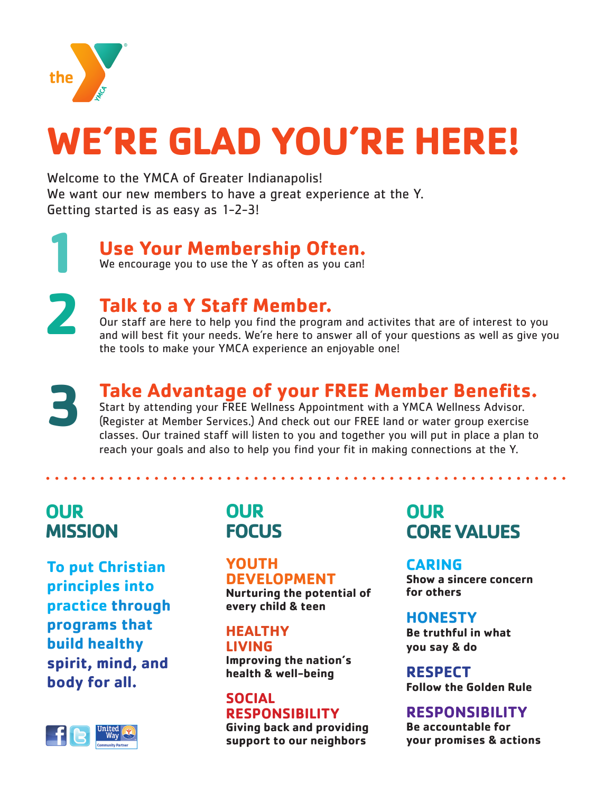

# **WE'RE GLAD YOU'RE HERE!**

Welcome to the YMCA of Greater Indianapolis! We want our new members to have a great experience at the Y. Getting started is as easy as 1-2-3!

> **Use Your Membership Often.**  We encourage you to use the Y as often as you can!

**1 2**

# **Talk to a Y Staff Member.**

Our staff are here to help you find the program and activites that are of interest to you and will best fit your needs. We're here to answer all of your questions as well as give you the tools to make your YMCA experience an enjoyable one!

**3**

# **Take Advantage of your FREE Member Benefits.**

Start by attending your FREE Wellness Appointment with a YMCA Wellness Advisor. (Register at Member Services.) And check out our FREE land or water group exercise classes. Our trained staff will listen to you and together you will put in place a plan to reach your goals and also to help you find your fit in making connections at the Y.

# **OUR MISSION**

**To put Christian principles into practice through programs that build healthy spirit, mind, and body for all.**



# **OUR FOCUS**

## **YOUTH DEVELOPMENT**

**Nurturing the potential of every child & teen**

## **HEALTHY LIVING**

**Improving the nation's health & well-being**

### **SOCIAL RESPONSIBILITY**

**Giving back and providing support to our neighbors**

# **OUR CORE VALUES**

## **CARING**

**Show a sincere concern for others**

## **HONESTY**

**Be truthful in what you say & do**

**RESPECT Follow the Golden Rule**

## **RESPONSIBILITY**

**Be accountable for your promises & actions**